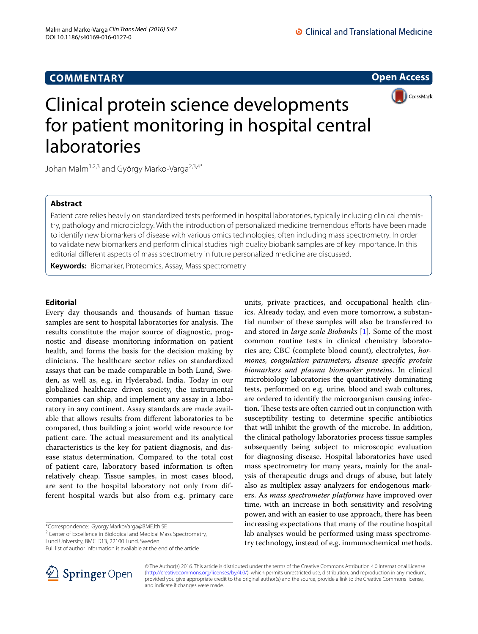## **COMMENTARY**





# Clinical protein science developments for patient monitoring in hospital central laboratories

Johan Malm<sup>1,2,3</sup> and György Marko-Varga<sup>2,3,4\*</sup>

## **Abstract**

Patient care relies heavily on standardized tests performed in hospital laboratories, typically including clinical chemistry, pathology and microbiology. With the introduction of personalized medicine tremendous efforts have been made to identify new biomarkers of disease with various omics technologies, often including mass spectrometry. In order to validate new biomarkers and perform clinical studies high quality biobank samples are of key importance. In this editorial different aspects of mass spectrometry in future personalized medicine are discussed.

**Keywords:** Biomarker, Proteomics, Assay, Mass spectrometry

### **Editorial**

Every day thousands and thousands of human tissue samples are sent to hospital laboratories for analysis. The results constitute the major source of diagnostic, prognostic and disease monitoring information on patient health, and forms the basis for the decision making by clinicians. The healthcare sector relies on standardized assays that can be made comparable in both Lund, Sweden, as well as, e.g. in Hyderabad, India. Today in our globalized healthcare driven society, the instrumental companies can ship, and implement any assay in a laboratory in any continent. Assay standards are made available that allows results from different laboratories to be compared, thus building a joint world wide resource for patient care. The actual measurement and its analytical characteristics is the key for patient diagnosis, and disease status determination. Compared to the total cost of patient care, laboratory based information is often relatively cheap. Tissue samples, in most cases blood, are sent to the hospital laboratory not only from different hospital wards but also from e.g. primary care

\*Correspondence: Gyorgy.MarkoVarga@BME.lth.SE

<sup>2</sup> Center of Excellence in Biological and Medical Mass Spectrometry, Lund University, BMC D13, 22100 Lund, Sweden

Full list of author information is available at the end of the article



units, private practices, and occupational health clinics. Already today, and even more tomorrow, a substantial number of these samples will also be transferred to and stored in *large scale Biobanks* [[1\]](#page-2-0). Some of the most common routine tests in clinical chemistry laboratories are; CBC (complete blood count), electrolytes, *hormones, coagulation parameters, disease specific protein biomarkers and plasma biomarker proteins*. In clinical microbiology laboratories the quantitatively dominating tests, performed on e.g. urine, blood and swab cultures, are ordered to identify the microorganism causing infection. These tests are often carried out in conjunction with susceptibility testing to determine specific antibiotics that will inhibit the growth of the microbe. In addition, the clinical pathology laboratories process tissue samples subsequently being subject to microscopic evaluation for diagnosing disease. Hospital laboratories have used mass spectrometry for many years, mainly for the analysis of therapeutic drugs and drugs of abuse, but lately also as multiplex assay analyzers for endogenous markers. As *mass spectrometer platforms* have improved over time, with an increase in both sensitivity and resolving power, and with an easier to use approach, there has been increasing expectations that many of the routine hospital lab analyses would be performed using mass spectrometry technology, instead of e.g. immunochemical methods.



© The Author(s) 2016. This article is distributed under the terms of the Creative Commons Attribution 4.0 International License [\(http://creativecommons.org/licenses/by/4.0/\)](http://creativecommons.org/licenses/by/4.0/), which permits unrestricted use, distribution, and reproduction in any medium, provided you give appropriate credit to the original author(s) and the source, provide a link to the Creative Commons license, and indicate if changes were made.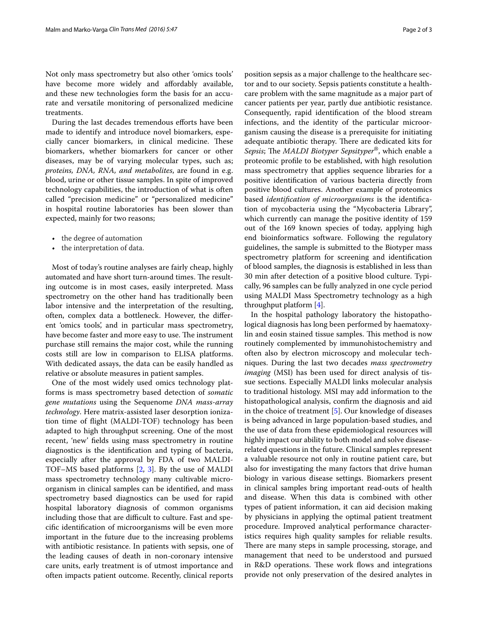Not only mass spectrometry but also other 'omics tools' have become more widely and affordably available, and these new technologies form the basis for an accurate and versatile monitoring of personalized medicine treatments.

During the last decades tremendous efforts have been made to identify and introduce novel biomarkers, especially cancer biomarkers, in clinical medicine. These biomarkers, whether biomarkers for cancer or other diseases, may be of varying molecular types, such as; *proteins, DNA, RNA, and metabolites*, are found in e.g. blood, urine or other tissue samples. In spite of improved technology capabilities, the introduction of what is often called "precision medicine" or "personalized medicine" in hospital routine laboratories has been slower than expected, mainly for two reasons;

- the degree of automation
- the interpretation of data.

Most of today's routine analyses are fairly cheap, highly automated and have short turn-around times. The resulting outcome is in most cases, easily interpreted. Mass spectrometry on the other hand has traditionally been labor intensive and the interpretation of the resulting, often, complex data a bottleneck. However, the different 'omics tools', and in particular mass spectrometry, have become faster and more easy to use. The instrument purchase still remains the major cost, while the running costs still are low in comparison to ELISA platforms. With dedicated assays, the data can be easily handled as relative or absolute measures in patient samples.

One of the most widely used omics technology platforms is mass spectrometry based detection of *somatic gene mutations* using the Sequenome *DNA mass-array technology*. Here matrix-assisted laser desorption ionization time of flight (MALDI-TOF) technology has been adapted to high throughput screening. One of the most recent, 'new' fields using mass spectrometry in routine diagnostics is the identification and typing of bacteria, especially after the approval by FDA of two MALDI-TOF–MS based platforms [\[2](#page-2-1), [3\]](#page-2-2). By the use of MALDI mass spectrometry technology many cultivable microorganism in clinical samples can be identified, and mass spectrometry based diagnostics can be used for rapid hospital laboratory diagnosis of common organisms including those that are difficult to culture. Fast and specific identification of microorganisms will be even more important in the future due to the increasing problems with antibiotic resistance. In patients with sepsis, one of the leading causes of death in non-coronary intensive care units, early treatment is of utmost importance and often impacts patient outcome. Recently, clinical reports

position sepsis as a major challenge to the healthcare sector and to our society. Sepsis patients constitute a healthcare problem with the same magnitude as a major part of cancer patients per year, partly due antibiotic resistance. Consequently, rapid identification of the blood stream infections, and the identity of the particular microorganism causing the disease is a prerequisite for initiating adequate antibiotic therapy. There are dedicated kits for *Sepsis*; The *MALDI Biotyper Sepsityper*®, which enable a proteomic profile to be established, with high resolution mass spectrometry that applies sequence libraries for a positive identification of various bacteria directly from positive blood cultures. Another example of proteomics based *identification of microorganisms* is the identification of mycobacteria using the "Mycobacteria Library", which currently can manage the positive identity of 159 out of the 169 known species of today, applying high end bioinformatics software. Following the regulatory guidelines, the sample is submitted to the Biotyper mass spectrometry platform for screening and identification of blood samples, the diagnosis is established in less than 30 min after detection of a positive blood culture. Typically, 96 samples can be fully analyzed in one cycle period using MALDI Mass Spectrometry technology as a high throughput platform [[4\]](#page-2-3).

In the hospital pathology laboratory the histopathological diagnosis has long been performed by haematoxylin and eosin stained tissue samples. This method is now routinely complemented by immunohistochemistry and often also by electron microscopy and molecular techniques. During the last two decades *mass spectrometry imaging* (MSI) has been used for direct analysis of tissue sections. Especially MALDI links molecular analysis to traditional histology. MSI may add information to the histopathological analysis, confirm the diagnosis and aid in the choice of treatment [\[5](#page-2-4)]. Our knowledge of diseases is being advanced in large population-based studies, and the use of data from these epidemiological resources will highly impact our ability to both model and solve diseaserelated questions in the future. Clinical samples represent a valuable resource not only in routine patient care, but also for investigating the many factors that drive human biology in various disease settings. Biomarkers present in clinical samples bring important read-outs of health and disease. When this data is combined with other types of patient information, it can aid decision making by physicians in applying the optimal patient treatment procedure. Improved analytical performance characteristics requires high quality samples for reliable results. There are many steps in sample processing, storage, and management that need to be understood and pursued in R&D operations. These work flows and integrations provide not only preservation of the desired analytes in